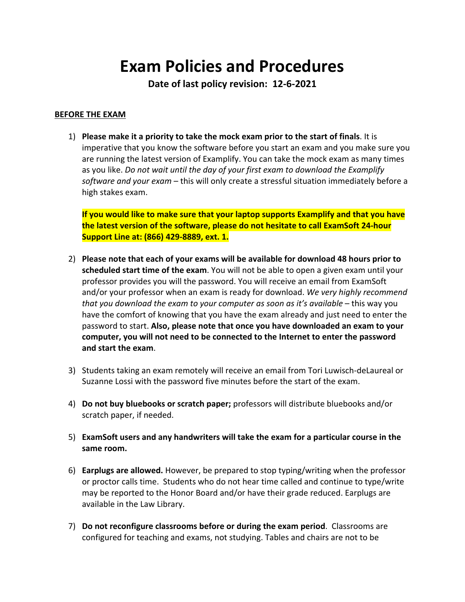# **Exam Policies and Procedures**

**Date of last policy revision: 12-6-2021**

### **BEFORE THE EXAM**

1) **Please make it a priority to take the mock exam prior to the start of finals**. It is imperative that you know the software before you start an exam and you make sure you are running the latest version of Examplify. You can take the mock exam as many times as you like. *Do not wait until the day of your first exam to download the Examplify software and your exam* – this will only create a stressful situation immediately before a high stakes exam.

**If you would like to make sure that your laptop supports Examplify and that you have the latest version of the software, please do not hesitate to call ExamSoft 24-hour Support Line at: (866) 429-8889, ext. 1.**

- 2) **Please note that each of your exams will be available for download 48 hours prior to scheduled start time of the exam**. You will not be able to open a given exam until your professor provides you will the password. You will receive an email from ExamSoft and/or your professor when an exam is ready for download. *We very highly recommend that you download the exam to your computer as soon as it's available* – this way you have the comfort of knowing that you have the exam already and just need to enter the password to start. **Also, please note that once you have downloaded an exam to your computer, you will not need to be connected to the Internet to enter the password and start the exam**.
- 3) Students taking an exam remotely will receive an email from Tori Luwisch-deLaureal or Suzanne Lossi with the password five minutes before the start of the exam.
- 4) **Do not buy bluebooks or scratch paper;** professors will distribute bluebooks and/or scratch paper, if needed.
- 5) **ExamSoft users and any handwriters will take the exam for a particular course in the same room.**
- 6) **Earplugs are allowed.** However, be prepared to stop typing/writing when the professor or proctor calls time. Students who do not hear time called and continue to type/write may be reported to the Honor Board and/or have their grade reduced. Earplugs are available in the Law Library.
- 7) **Do not reconfigure classrooms before or during the exam period**. Classrooms are configured for teaching and exams, not studying. Tables and chairs are not to be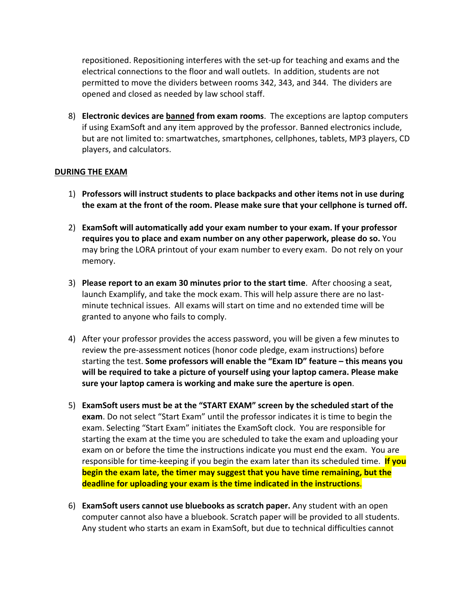repositioned. Repositioning interferes with the set-up for teaching and exams and the electrical connections to the floor and wall outlets. In addition, students are not permitted to move the dividers between rooms 342, 343, and 344. The dividers are opened and closed as needed by law school staff.

8) **Electronic devices are banned from exam rooms**. The exceptions are laptop computers if using ExamSoft and any item approved by the professor. Banned electronics include, but are not limited to: smartwatches, smartphones, cellphones, tablets, MP3 players, CD players, and calculators.

### **DURING THE EXAM**

- 1) **Professors will instruct students to place backpacks and other items not in use during the exam at the front of the room. Please make sure that your cellphone is turned off.**
- 2) **ExamSoft will automatically add your exam number to your exam. If your professor requires you to place and exam number on any other paperwork, please do so.** You may bring the LORA printout of your exam number to every exam. Do not rely on your memory.
- 3) **Please report to an exam 30 minutes prior to the start time**. After choosing a seat, launch Examplify, and take the mock exam. This will help assure there are no lastminute technical issues. All exams will start on time and no extended time will be granted to anyone who fails to comply.
- 4) After your professor provides the access password, you will be given a few minutes to review the pre-assessment notices (honor code pledge, exam instructions) before starting the test. **Some professors will enable the "Exam ID" feature – this means you will be required to take a picture of yourself using your laptop camera. Please make sure your laptop camera is working and make sure the aperture is open**.
- 5) **ExamSoft users must be at the "START EXAM" screen by the scheduled start of the exam**. Do not select "Start Exam" until the professor indicates it is time to begin the exam. Selecting "Start Exam" initiates the ExamSoft clock. You are responsible for starting the exam at the time you are scheduled to take the exam and uploading your exam on or before the time the instructions indicate you must end the exam. You are responsible for time-keeping if you begin the exam later than its scheduled time. **If you begin the exam late, the timer may suggest that you have time remaining, but the deadline for uploading your exam is the time indicated in the instructions**.
- 6) **ExamSoft users cannot use bluebooks as scratch paper.** Any student with an open computer cannot also have a bluebook. Scratch paper will be provided to all students. Any student who starts an exam in ExamSoft, but due to technical difficulties cannot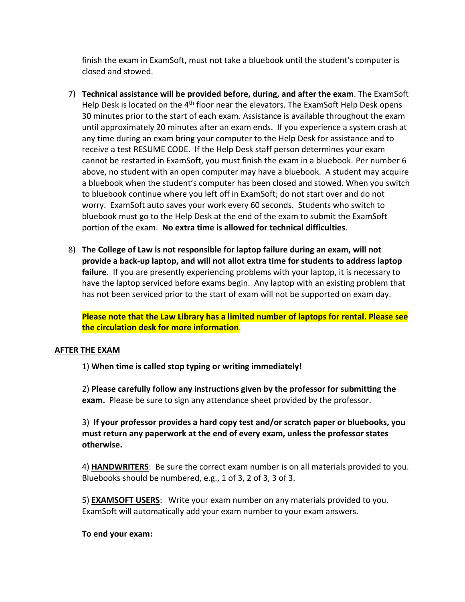finish the exam in ExamSoft, must not take a bluebook until the student's computer is closed and stowed.

- 7) **Technical assistance will be provided before, during, and after the exam**. The ExamSoft Help Desk is located on the  $4<sup>th</sup>$  floor near the elevators. The ExamSoft Help Desk opens 30 minutes prior to the start of each exam. Assistance is available throughout the exam until approximately 20 minutes after an exam ends. If you experience a system crash at any time during an exam bring your computer to the Help Desk for assistance and to receive a test RESUME CODE. If the Help Desk staff person determines your exam cannot be restarted in ExamSoft, you must finish the exam in a bluebook. Per number 6 above, no student with an open computer may have a bluebook. A student may acquire a bluebook when the student's computer has been closed and stowed. When you switch to bluebook continue where you left off in ExamSoft; do not start over and do not worry. ExamSoft auto saves your work every 60 seconds. Students who switch to bluebook must go to the Help Desk at the end of the exam to submit the ExamSoft portion of the exam. **No extra time is allowed for technical difficulties**.
- 8) **The College of Law is not responsible for laptop failure during an exam, will not provide a back-up laptop, and will not allot extra time for students to address laptop failure**. If you are presently experiencing problems with your laptop, it is necessary to have the laptop serviced before exams begin. Any laptop with an existing problem that has not been serviced prior to the start of exam will not be supported on exam day.

**Please note that the Law Library has a limited number of laptops for rental. Please see the circulation desk for more information**.

### **AFTER THE EXAM**

1) **When time is called stop typing or writing immediately!**

2) **Please carefully follow any instructions given by the professor for submitting the exam.**Please be sure to sign any attendance sheet provided by the professor.

3) **If your professor provides a hard copy test and/or scratch paper or bluebooks, you must return any paperwork at the end of every exam, unless the professor states otherwise.**

4) **HANDWRITERS**: Be sure the correct exam number is on all materials provided to you. Bluebooks should be numbered, e.g., 1 of 3, 2 of 3, 3 of 3.

5) **EXAMSOFT USERS**: Write your exam number on any materials provided to you. ExamSoft will automatically add your exam number to your exam answers.

### **To end your exam:**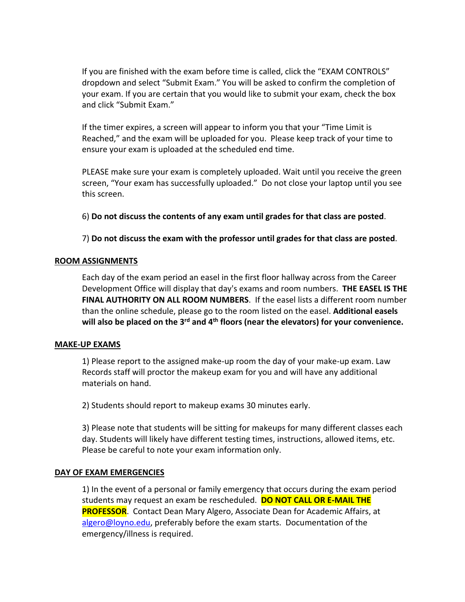If you are finished with the exam before time is called, click the "EXAM CONTROLS" dropdown and select "Submit Exam." You will be asked to confirm the completion of your exam. If you are certain that you would like to submit your exam, check the box and click "Submit Exam."

If the timer expires, a screen will appear to inform you that your "Time Limit is Reached," and the exam will be uploaded for you. Please keep track of your time to ensure your exam is uploaded at the scheduled end time.

PLEASE make sure your exam is completely uploaded. Wait until you receive the green screen, "Your exam has successfully uploaded."Do not close your laptop until you see this screen.

6) **Do not discuss the contents of any exam until grades for that class are posted**.

7) **Do not discuss the exam with the professor until grades for that class are posted**.

### **ROOM ASSIGNMENTS**

Each day of the exam period an easel in the first floor hallway across from the Career Development Office will display that day's exams and room numbers. **THE EASEL IS THE FINAL AUTHORITY ON ALL ROOM NUMBERS**. If the easel lists a different room number than the online schedule, please go to the room listed on the easel. **Additional easels will also be placed on the 3rd and 4th floors (near the elevators) for your convenience.**

#### **MAKE-UP EXAMS**

1) Please report to the assigned make-up room the day of your make-up exam. Law Records staff will proctor the makeup exam for you and will have any additional materials on hand.

2) Students should report to makeup exams 30 minutes early.

3) Please note that students will be sitting for makeups for many different classes each day. Students will likely have different testing times, instructions, allowed items, etc. Please be careful to note your exam information only.

#### **DAY OF EXAM EMERGENCIES**

1) In the event of a personal or family emergency that occurs during the exam period students may request an exam be rescheduled. **DO NOT CALL OR E-MAIL THE PROFESSOR**. Contact Dean Mary Algero, Associate Dean for Academic Affairs, at [algero@loyno.edu,](mailto:algero@loyno.edu) preferably before the exam starts. Documentation of the emergency/illness is required.